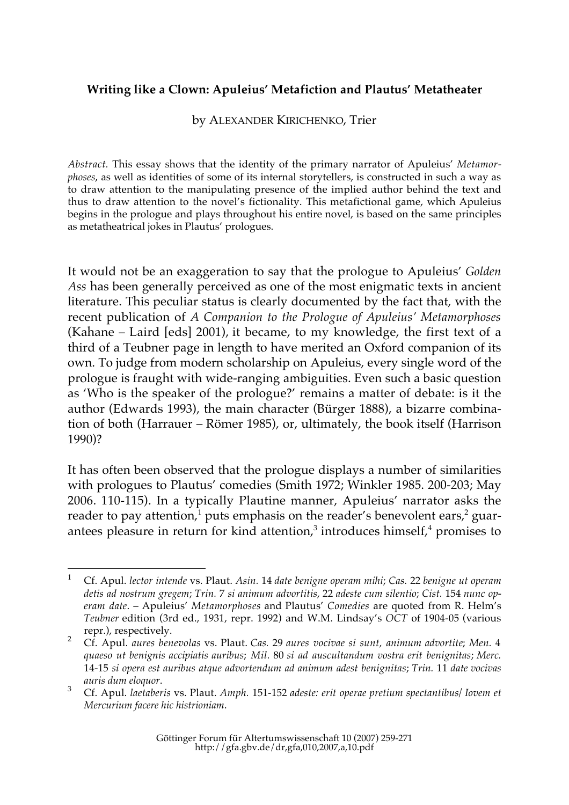### **Writing like a Clown: Apuleius' Metafiction and Plautus' Metatheater**

by ALEXANDER KIRICHENKO, Trier

*Abstract.* This essay shows that the identity of the primary narrator of Apuleius' *Metamorphoses*, as well as identities of some of its internal storytellers, is constructed in such a way as to draw attention to the manipulating presence of the implied author behind the text and thus to draw attention to the novel's fictionality. This metafictional game, which Apuleius begins in the prologue and plays throughout his entire novel, is based on the same principles as metatheatrical jokes in Plautus' prologues.

It would not be an exaggeration to say that the prologue to Apuleius' *Golden Ass* has been generally perceived as one of the most enigmatic texts in ancient literature. This peculiar status is clearly documented by the fact that, with the recent publication of *A Companion to the Prologue of Apuleius' Metamorphoses* (Kahane – Laird [eds] 2001), it became, to my knowledge, the first text of a third of a Teubner page in length to have merited an Oxford companion of its own. To judge from modern scholarship on Apuleius, every single word of the prologue is fraught with wide-ranging ambiguities. Even such a basic question as 'Who is the speaker of the prologue?' remains a matter of debate: is it the author (Edwards 1993), the main character (Bürger 1888), a bizarre combination of both (Harrauer – Römer 1985), or, ultimately, the book itself (Harrison 1990)?

It has often been observed that the prologue displays a number of similarities with prologues to Plautus' comedies (Smith 1972; Winkler 1985. 200-203; May 2006. 110-115). In a typically Plautine manner, Apuleius' narrator asks the reader to pay attention,<sup>1</sup> puts emphasis on the reader's benevolent ears,<sup>2</sup> guarantees pleasure in return for kind attention, $3$  introduces himself, $4$  promises to

 <sup>1</sup> Cf. Apul. *lector intende* vs. Plaut. *Asin.* <sup>14</sup>*date benigne operam mihi*; *Cas.* <sup>22</sup>*benigne ut operam detis ad nostrum gregem*; *Trin.* 7 *si animum advortitis*, 22 *adeste cum silentio*; *Cist.* 154 *nunc operam date*. – Apuleius' *Metamorphoses* and Plautus' *Comedies* are quoted from R. Helm's *Teubner* edition (3rd ed., 1931, repr. 1992) and W.M. Lindsay's *OCT* of 1904-05 (various

repr.), respectively. <sup>2</sup> Cf. Apul. *aures benevolas* vs. Plaut. *Cas.* 29 *aures vocivae si sunt, animum advortite*; *Men.* <sup>4</sup> *quaeso ut benignis accipiatis auribus*; *Mil.* 80 *si ad auscultandum vostra erit benignitas*; *Merc.* 14-15 *si opera est auribus atque advortendum ad animum adest benignitas*; *Trin.* 11 *date vocivas*

*auris dum eloquor*. <sup>3</sup> Cf. Apul. *laetaberis* vs. Plaut. *Amph.* 151-152 *adeste: erit operae pretium spectantibus/ Iovem et Mercurium facere hic histrioniam*.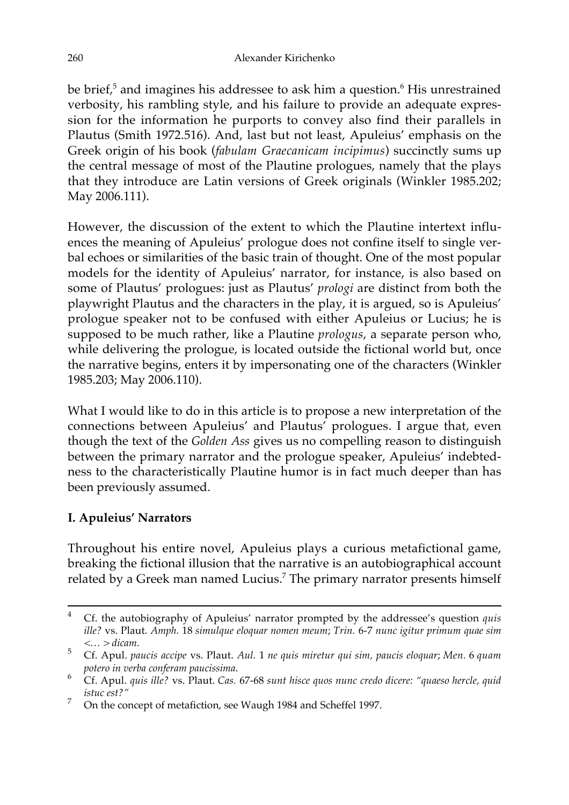be brief, $5$  and imagines his addressee to ask him a question. $6$  His unrestrained verbosity, his rambling style, and his failure to provide an adequate expression for the information he purports to convey also find their parallels in Plautus (Smith 1972.516). And, last but not least, Apuleius' emphasis on the Greek origin of his book (*fabulam Graecanicam incipimus*) succinctly sums up the central message of most of the Plautine prologues, namely that the plays that they introduce are Latin versions of Greek originals (Winkler 1985.202; May 2006.111).

However, the discussion of the extent to which the Plautine intertext influences the meaning of Apuleius' prologue does not confine itself to single verbal echoes or similarities of the basic train of thought. One of the most popular models for the identity of Apuleius' narrator, for instance, is also based on some of Plautus' prologues: just as Plautus' *prologi* are distinct from both the playwright Plautus and the characters in the play, it is argued, so is Apuleius' prologue speaker not to be confused with either Apuleius or Lucius; he is supposed to be much rather, like a Plautine *prologus*, a separate person who, while delivering the prologue, is located outside the fictional world but, once the narrative begins, enters it by impersonating one of the characters (Winkler 1985.203; May 2006.110).

What I would like to do in this article is to propose a new interpretation of the connections between Apuleius' and Plautus' prologues. I argue that, even though the text of the *Golden Ass* gives us no compelling reason to distinguish between the primary narrator and the prologue speaker, Apuleius' indebtedness to the characteristically Plautine humor is in fact much deeper than has been previously assumed.

# **I. Apuleius' Narrators**

Throughout his entire novel, Apuleius plays a curious metafictional game, breaking the fictional illusion that the narrative is an autobiographical account related by a Greek man named Lucius.<sup>7</sup> The primary narrator presents himself

 <sup>4</sup> Cf. the autobiography of Apuleius' narrator prompted by the addressee's question *quis ille?* vs. Plaut. *Amph.* 18 *simulque eloquar nomen meum*; *Trin.* 6-7 *nunc igitur primum quae sim*

*<sup>&</sup>lt;… > dicam*. <sup>5</sup> Cf. Apul. *paucis accipe* vs. Plaut. *Aul.* 1 *ne quis miretur qui sim, paucis eloquar*; *Men.* <sup>6</sup>*quam*

*potero in verba conferam paucissima*. <sup>6</sup> Cf. Apul. *quis ille?* vs. Plaut. *Cas.* 67-68 *sunt hisce quos nunc credo dicere: "quaeso hercle, quid istuc est?"*

<sup>7</sup> On the concept of metafiction, see Waugh 1984 and Scheffel 1997.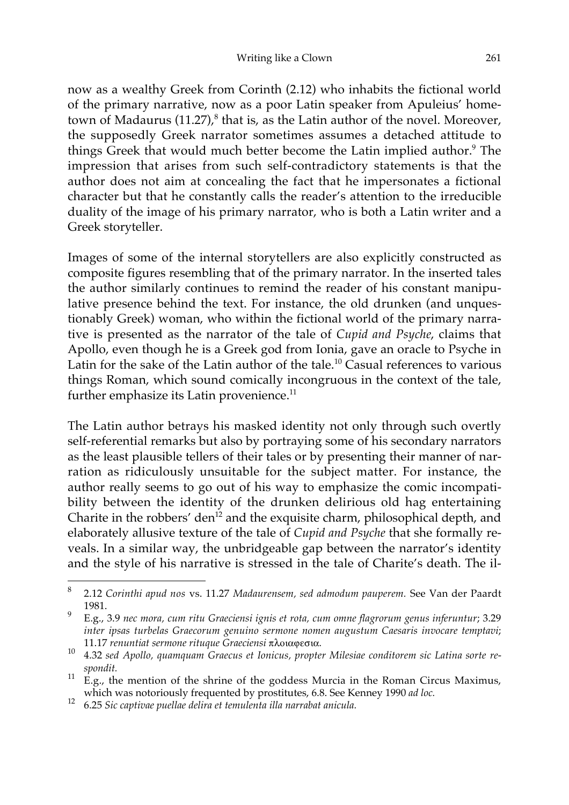now as a wealthy Greek from Corinth (2.12) who inhabits the fictional world of the primary narrative, now as a poor Latin speaker from Apuleius' hometown of Madaurus  $(11.27)$ ,<sup>8</sup> that is, as the Latin author of the novel. Moreover, the supposedly Greek narrator sometimes assumes a detached attitude to things Greek that would much better become the Latin implied author.<sup>9</sup> The impression that arises from such self-contradictory statements is that the author does not aim at concealing the fact that he impersonates a fictional character but that he constantly calls the reader's attention to the irreducible duality of the image of his primary narrator, who is both a Latin writer and a Greek storyteller.

Images of some of the internal storytellers are also explicitly constructed as composite figures resembling that of the primary narrator. In the inserted tales the author similarly continues to remind the reader of his constant manipulative presence behind the text. For instance, the old drunken (and unquestionably Greek) woman, who within the fictional world of the primary narrative is presented as the narrator of the tale of *Cupid and Psyche*, claims that Apollo, even though he is a Greek god from Ionia, gave an oracle to Psyche in Latin for the sake of the Latin author of the tale.<sup>10</sup> Casual references to various things Roman, which sound comically incongruous in the context of the tale, further emphasize its Latin provenience. $11$ 

The Latin author betrays his masked identity not only through such overtly self-referential remarks but also by portraying some of his secondary narrators as the least plausible tellers of their tales or by presenting their manner of narration as ridiculously unsuitable for the subject matter. For instance, the author really seems to go out of his way to emphasize the comic incompatibility between the identity of the drunken delirious old hag entertaining Charite in the robbers' den<sup>12</sup> and the exquisite charm, philosophical depth, and elaborately allusive texture of the tale of *Cupid and Psyche* that she formally reveals. In a similar way, the unbridgeable gap between the narrator's identity and the style of his narrative is stressed in the tale of Charite's death. The il-

 <sup>8</sup> 2.12 *Corinthi apud nos* vs. 11.27 *Madaurensem, sed admodum pauperem.* See Van der Paardt 1981.

<sup>9</sup> E.g., 3.9 *nec mora, cum ritu Graeciensi ignis et rota, cum omne flagrorum genus inferuntur*; 3.29 *inter ipsas turbelas Graecorum genuino sermone nomen augustum Caesaris invocare temptavi*;

<sup>11.17</sup> *renuntiat sermone rituque Graeciensi* πλοιαφεσια.<br><sup>10</sup> 4.32 *sed Apollo, quamquam Graecus et Ionicus, propter Milesiae conditorem sic Latina sorte re-*

*spondit.*<br><sup>11</sup> E.g., the mention of the shrine of the goddess Murcia in the Roman Circus Maximus, which was notoriously frequented by prostitutes, 6.8. See Kenney 1990 *ad loc.*

<sup>12</sup> 6.25 *Sic captivae puellae delira et temulenta illa narrabat anicula.*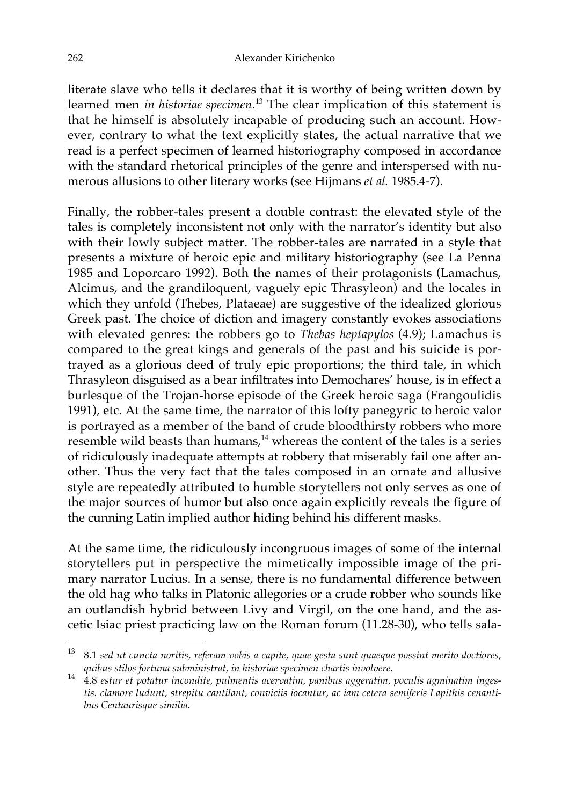literate slave who tells it declares that it is worthy of being written down by learned men *in historiae specimen*. <sup>13</sup> The clear implication of this statement is that he himself is absolutely incapable of producing such an account. However, contrary to what the text explicitly states, the actual narrative that we read is a perfect specimen of learned historiography composed in accordance with the standard rhetorical principles of the genre and interspersed with numerous allusions to other literary works (see Hijmans *et al.* 1985.4-7).

Finally, the robber-tales present a double contrast: the elevated style of the tales is completely inconsistent not only with the narrator's identity but also with their lowly subject matter. The robber-tales are narrated in a style that presents a mixture of heroic epic and military historiography (see La Penna 1985 and Loporcaro 1992). Both the names of their protagonists (Lamachus, Alcimus, and the grandiloquent, vaguely epic Thrasyleon) and the locales in which they unfold (Thebes, Plataeae) are suggestive of the idealized glorious Greek past. The choice of diction and imagery constantly evokes associations with elevated genres: the robbers go to *Thebas heptapylos* (4.9); Lamachus is compared to the great kings and generals of the past and his suicide is portrayed as a glorious deed of truly epic proportions; the third tale, in which Thrasyleon disguised as a bear infiltrates into Demochares' house, is in effect a burlesque of the Trojan-horse episode of the Greek heroic saga (Frangoulidis 1991), etc. At the same time, the narrator of this lofty panegyric to heroic valor is portrayed as a member of the band of crude bloodthirsty robbers who more resemble wild beasts than humans, $14$  whereas the content of the tales is a series of ridiculously inadequate attempts at robbery that miserably fail one after another. Thus the very fact that the tales composed in an ornate and allusive style are repeatedly attributed to humble storytellers not only serves as one of the major sources of humor but also once again explicitly reveals the figure of the cunning Latin implied author hiding behind his different masks.

At the same time, the ridiculously incongruous images of some of the internal storytellers put in perspective the mimetically impossible image of the primary narrator Lucius. In a sense, there is no fundamental difference between the old hag who talks in Platonic allegories or a crude robber who sounds like an outlandish hybrid between Livy and Virgil, on the one hand, and the ascetic Isiac priest practicing law on the Roman forum (11.28-30), who tells sala-

 <sup>13</sup> 8.1 *sed ut cuncta noritis, referam vobis a capite, quae gesta sunt quaeque possint merito doctiores,*

*quibus stilos fortuna subministrat, in historiae specimen chartis involvere.* <sup>14</sup> 4.8 *estur et potatur incondite, pulmentis acervatim, panibus aggeratim, poculis agminatim ingestis. clamore ludunt, strepitu cantilant, conviciis iocantur, ac iam cetera semiferis Lapithis cenantibus Centaurisque similia.*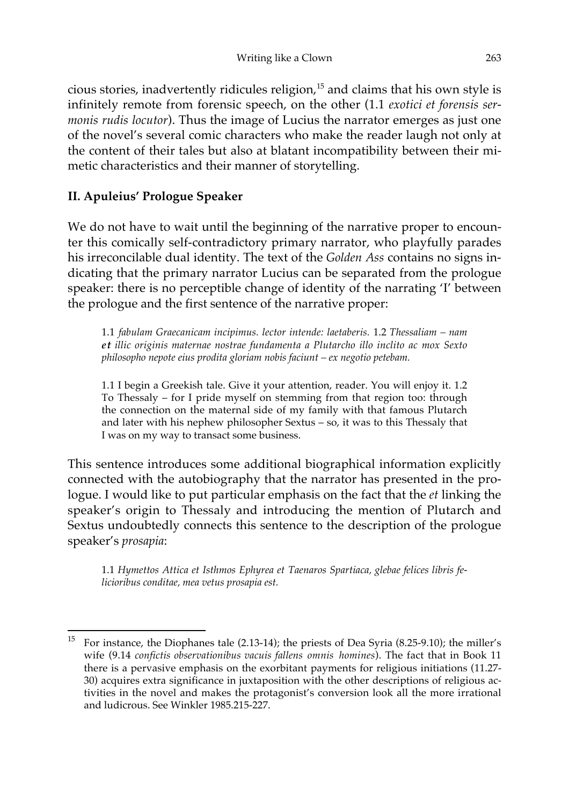cious stories, inadvertently ridicules religion, $15$  and claims that his own style is infinitely remote from forensic speech, on the other (1.1 *exotici et forensis sermonis rudis locutor*). Thus the image of Lucius the narrator emerges as just one of the novel's several comic characters who make the reader laugh not only at the content of their tales but also at blatant incompatibility between their mimetic characteristics and their manner of storytelling.

## **II. Apuleius' Prologue Speaker**

We do not have to wait until the beginning of the narrative proper to encounter this comically self-contradictory primary narrator, who playfully parades his irreconcilable dual identity. The text of the *Golden Ass* contains no signs indicating that the primary narrator Lucius can be separated from the prologue speaker: there is no perceptible change of identity of the narrating 'I' between the prologue and the first sentence of the narrative proper:

1.1 *fabulam Graecanicam incipimus. lector intende: laetaberis.* 1.2 *Thessaliam – nam et illic originis maternae nostrae fundamenta a Plutarcho illo inclito ac mox Sexto philosopho nepote eius prodita gloriam nobis faciunt – ex negotio petebam.*

1.1 I begin a Greekish tale. Give it your attention, reader. You will enjoy it. 1.2 To Thessaly – for I pride myself on stemming from that region too: through the connection on the maternal side of my family with that famous Plutarch and later with his nephew philosopher Sextus – so, it was to this Thessaly that I was on my way to transact some business.

This sentence introduces some additional biographical information explicitly connected with the autobiography that the narrator has presented in the prologue. I would like to put particular emphasis on the fact that the *et* linking the speaker's origin to Thessaly and introducing the mention of Plutarch and Sextus undoubtedly connects this sentence to the description of the prologue speaker's *prosapia*:

1.1 *Hymettos Attica et Isthmos Ephyrea et Taenaros Spartiaca, glebae felices libris felicioribus conditae, mea vetus prosapia est.*

 <sup>15</sup> For instance, the Diophanes tale (2.13-14); the priests of Dea Syria (8.25-9.10); the miller's wife (9.14 *confictis observationibus vacuis fallens omnis homines*). The fact that in Book 11 there is a pervasive emphasis on the exorbitant payments for religious initiations (11.27- 30) acquires extra significance in juxtaposition with the other descriptions of religious activities in the novel and makes the protagonist's conversion look all the more irrational and ludicrous. See Winkler 1985.215-227.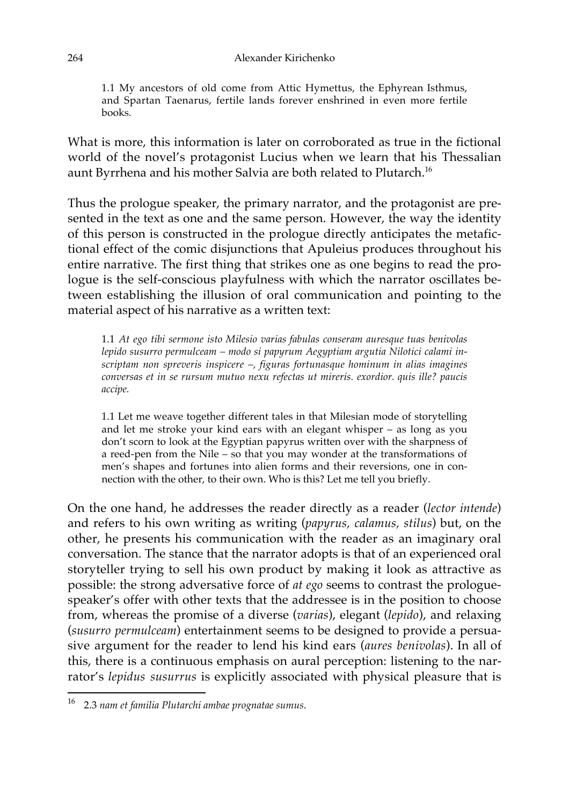#### 264 Alexander Kirichenko

1.1 My ancestors of old come from Attic Hymettus, the Ephyrean Isthmus, and Spartan Taenarus, fertile lands forever enshrined in even more fertile books.

What is more, this information is later on corroborated as true in the fictional world of the novel's protagonist Lucius when we learn that his Thessalian aunt Byrrhena and his mother Salvia are both related to Plutarch.16

Thus the prologue speaker, the primary narrator, and the protagonist are presented in the text as one and the same person. However, the way the identity of this person is constructed in the prologue directly anticipates the metafictional effect of the comic disjunctions that Apuleius produces throughout his entire narrative. The first thing that strikes one as one begins to read the prologue is the self-conscious playfulness with which the narrator oscillates between establishing the illusion of oral communication and pointing to the material aspect of his narrative as a written text:

1.1 *At ego tibi sermone isto Milesio varias fabulas conseram auresque tuas benivolas lepido susurro permulceam – modo si papyrum Aegyptiam argutia Nilotici calami inscriptam non spreveris inspicere –, figuras fortunasque hominum in alias imagines conversas et in se rursum mutuo nexu refectas ut mireris. exordior. quis ille? paucis accipe.*

1.1 Let me weave together different tales in that Milesian mode of storytelling and let me stroke your kind ears with an elegant whisper – as long as you don't scorn to look at the Egyptian papyrus written over with the sharpness of a reed-pen from the Nile – so that you may wonder at the transformations of men's shapes and fortunes into alien forms and their reversions, one in connection with the other, to their own. Who is this? Let me tell you briefly.

On the one hand, he addresses the reader directly as a reader (*lector intende*) and refers to his own writing as writing (*papyrus, calamus, stilus*) but, on the other, he presents his communication with the reader as an imaginary oral conversation. The stance that the narrator adopts is that of an experienced oral storyteller trying to sell his own product by making it look as attractive as possible: the strong adversative force of *at ego* seems to contrast the prologuespeaker's offer with other texts that the addressee is in the position to choose from, whereas the promise of a diverse (*varias*), elegant (*lepido*), and relaxing (*susurro permulceam*) entertainment seems to be designed to provide a persuasive argument for the reader to lend his kind ears (*aures benivolas*). In all of this, there is a continuous emphasis on aural perception: listening to the narrator's *lepidus susurrus* is explicitly associated with physical pleasure that is

 <sup>16</sup> 2.3 *nam et familia Plutarchi ambae prognatae sumus*.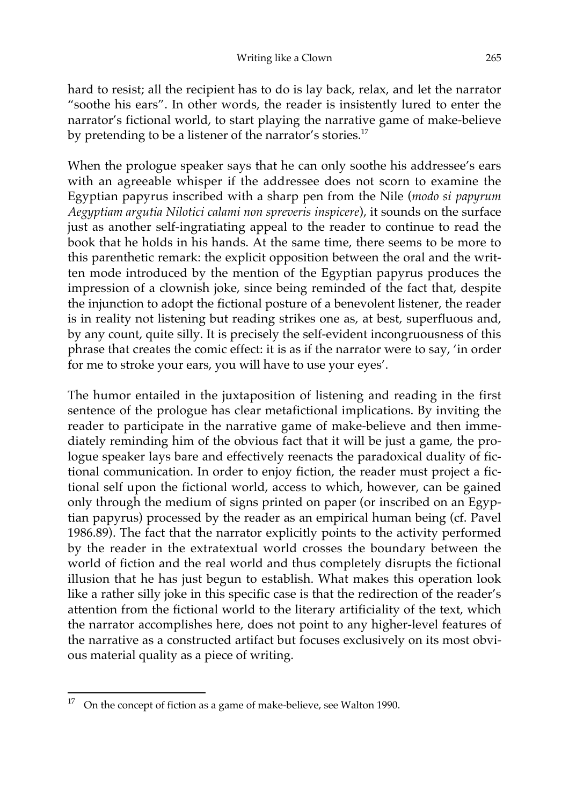hard to resist; all the recipient has to do is lay back, relax, and let the narrator "soothe his ears". In other words, the reader is insistently lured to enter the narrator's fictional world, to start playing the narrative game of make-believe by pretending to be a listener of the narrator's stories.<sup>17</sup>

When the prologue speaker says that he can only soothe his addressee's ears with an agreeable whisper if the addressee does not scorn to examine the Egyptian papyrus inscribed with a sharp pen from the Nile (*modo si papyrum Aegyptiam argutia Nilotici calami non spreveris inspicere*), it sounds on the surface just as another self-ingratiating appeal to the reader to continue to read the book that he holds in his hands. At the same time, there seems to be more to this parenthetic remark: the explicit opposition between the oral and the written mode introduced by the mention of the Egyptian papyrus produces the impression of a clownish joke, since being reminded of the fact that, despite the injunction to adopt the fictional posture of a benevolent listener, the reader is in reality not listening but reading strikes one as, at best, superfluous and, by any count, quite silly. It is precisely the self-evident incongruousness of this phrase that creates the comic effect: it is as if the narrator were to say, 'in order for me to stroke your ears, you will have to use your eyes'.

The humor entailed in the juxtaposition of listening and reading in the first sentence of the prologue has clear metafictional implications. By inviting the reader to participate in the narrative game of make-believe and then immediately reminding him of the obvious fact that it will be just a game, the prologue speaker lays bare and effectively reenacts the paradoxical duality of fictional communication. In order to enjoy fiction, the reader must project a fictional self upon the fictional world, access to which, however, can be gained only through the medium of signs printed on paper (or inscribed on an Egyptian papyrus) processed by the reader as an empirical human being (cf. Pavel 1986.89). The fact that the narrator explicitly points to the activity performed by the reader in the extratextual world crosses the boundary between the world of fiction and the real world and thus completely disrupts the fictional illusion that he has just begun to establish. What makes this operation look like a rather silly joke in this specific case is that the redirection of the reader's attention from the fictional world to the literary artificiality of the text, which the narrator accomplishes here, does not point to any higher-level features of the narrative as a constructed artifact but focuses exclusively on its most obvious material quality as a piece of writing.

 <sup>17</sup> On the concept of fiction as a game of make-believe, see Walton 1990.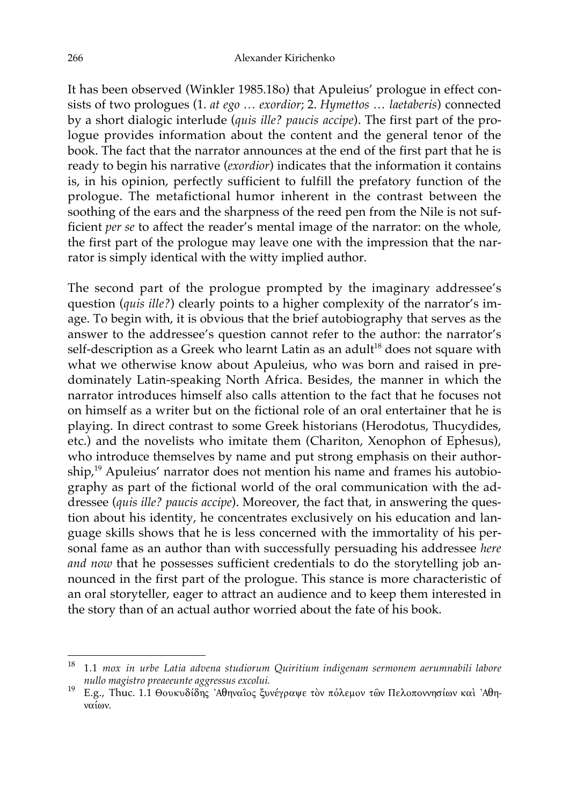It has been observed (Winkler 1985.18o) that Apuleius' prologue in effect consists of two prologues (1. *at ego … exordior*; 2. *Hymettos … laetaberis*) connected by a short dialogic interlude (*quis ille? paucis accipe*). The first part of the prologue provides information about the content and the general tenor of the book. The fact that the narrator announces at the end of the first part that he is ready to begin his narrative (*exordior*) indicates that the information it contains is, in his opinion, perfectly sufficient to fulfill the prefatory function of the prologue. The metafictional humor inherent in the contrast between the soothing of the ears and the sharpness of the reed pen from the Nile is not sufficient *per se* to affect the reader's mental image of the narrator: on the whole, the first part of the prologue may leave one with the impression that the narrator is simply identical with the witty implied author.

The second part of the prologue prompted by the imaginary addressee's question (*quis ille?*) clearly points to a higher complexity of the narrator's image. To begin with, it is obvious that the brief autobiography that serves as the answer to the addressee's question cannot refer to the author: the narrator's self-description as a Greek who learnt Latin as an adult<sup>18</sup> does not square with what we otherwise know about Apuleius, who was born and raised in predominately Latin-speaking North Africa. Besides, the manner in which the narrator introduces himself also calls attention to the fact that he focuses not on himself as a writer but on the fictional role of an oral entertainer that he is playing. In direct contrast to some Greek historians (Herodotus, Thucydides, etc.) and the novelists who imitate them (Chariton, Xenophon of Ephesus), who introduce themselves by name and put strong emphasis on their authorship,<sup>19</sup> Apuleius' narrator does not mention his name and frames his autobiography as part of the fictional world of the oral communication with the addressee (*quis ille? paucis accipe*). Moreover, the fact that, in answering the question about his identity, he concentrates exclusively on his education and language skills shows that he is less concerned with the immortality of his personal fame as an author than with successfully persuading his addressee *here and now* that he possesses sufficient credentials to do the storytelling job announced in the first part of the prologue. This stance is more characteristic of an oral storyteller, eager to attract an audience and to keep them interested in the story than of an actual author worried about the fate of his book.

 <sup>18</sup> 1.1 *mox in urbe Latia advena studiorum Quiritium indigenam sermonem aerumnabili labore nullo magistro preaeeunte aggressus excolui.*<br>E.g., Thuc. 1.1 Θουκυδίδης 'Αθηναῖος ξυνέγραψε τὸν πόλεμον τῶν Πελοποννησίων καὶ 'Αθη-

ναίων.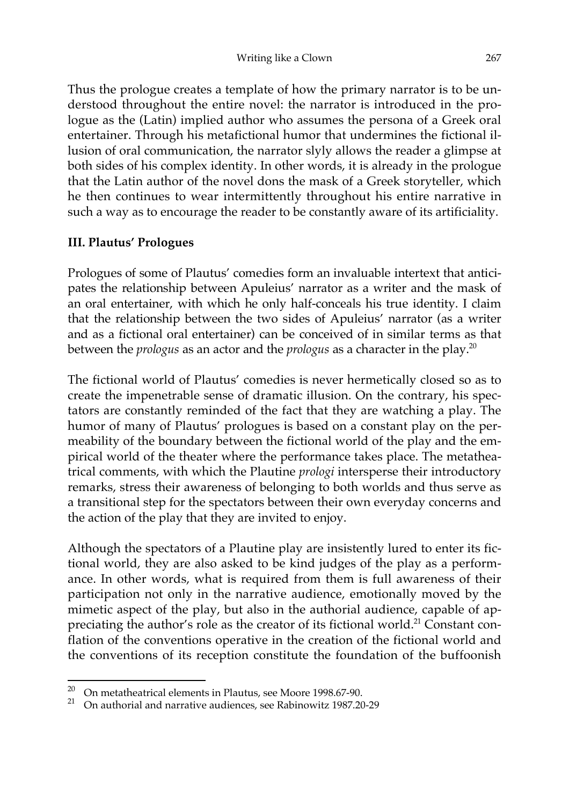Thus the prologue creates a template of how the primary narrator is to be understood throughout the entire novel: the narrator is introduced in the prologue as the (Latin) implied author who assumes the persona of a Greek oral entertainer. Through his metafictional humor that undermines the fictional illusion of oral communication, the narrator slyly allows the reader a glimpse at both sides of his complex identity. In other words, it is already in the prologue that the Latin author of the novel dons the mask of a Greek storyteller, which he then continues to wear intermittently throughout his entire narrative in such a way as to encourage the reader to be constantly aware of its artificiality.

### **III. Plautus' Prologues**

Prologues of some of Plautus' comedies form an invaluable intertext that anticipates the relationship between Apuleius' narrator as a writer and the mask of an oral entertainer, with which he only half-conceals his true identity. I claim that the relationship between the two sides of Apuleius' narrator (as a writer and as a fictional oral entertainer) can be conceived of in similar terms as that between the *prologus* as an actor and the *prologus* as a character in the play. 20

The fictional world of Plautus' comedies is never hermetically closed so as to create the impenetrable sense of dramatic illusion. On the contrary, his spectators are constantly reminded of the fact that they are watching a play. The humor of many of Plautus' prologues is based on a constant play on the permeability of the boundary between the fictional world of the play and the empirical world of the theater where the performance takes place. The metatheatrical comments, with which the Plautine *prologi* intersperse their introductory remarks, stress their awareness of belonging to both worlds and thus serve as a transitional step for the spectators between their own everyday concerns and the action of the play that they are invited to enjoy.

Although the spectators of a Plautine play are insistently lured to enter its fictional world, they are also asked to be kind judges of the play as a performance. In other words, what is required from them is full awareness of their participation not only in the narrative audience, emotionally moved by the mimetic aspect of the play, but also in the authorial audience, capable of appreciating the author's role as the creator of its fictional world.<sup>21</sup> Constant conflation of the conventions operative in the creation of the fictional world and the conventions of its reception constitute the foundation of the buffoonish

<sup>&</sup>lt;sup>20</sup> On metatheatrical elements in Plautus, see Moore 1998.67-90.<br><sup>21</sup> On authorial and narrative audiences, see Pehinevitz 1987.20

<sup>21</sup> On authorial and narrative audiences, see Rabinowitz 1987.20-29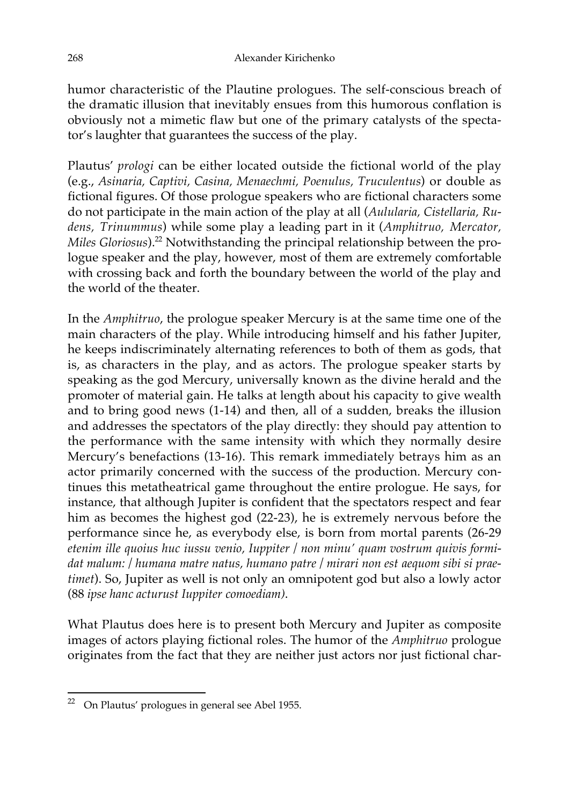humor characteristic of the Plautine prologues. The self-conscious breach of the dramatic illusion that inevitably ensues from this humorous conflation is obviously not a mimetic flaw but one of the primary catalysts of the spectator's laughter that guarantees the success of the play.

Plautus' *prologi* can be either located outside the fictional world of the play (e.g., *Asinaria, Captivi, Casina, Menaechmi, Poenulus, Truculentus*) or double as fictional figures. Of those prologue speakers who are fictional characters some do not participate in the main action of the play at all (*Aulularia, Cistellaria, Rudens, Trinummus*) while some play a leading part in it (*Amphitruo, Mercator, Miles Gloriosus*).<sup>22</sup> Notwithstanding the principal relationship between the prologue speaker and the play, however, most of them are extremely comfortable with crossing back and forth the boundary between the world of the play and the world of the theater.

In the *Amphitruo*, the prologue speaker Mercury is at the same time one of the main characters of the play. While introducing himself and his father Jupiter, he keeps indiscriminately alternating references to both of them as gods, that is, as characters in the play, and as actors. The prologue speaker starts by speaking as the god Mercury, universally known as the divine herald and the promoter of material gain. He talks at length about his capacity to give wealth and to bring good news (1-14) and then, all of a sudden, breaks the illusion and addresses the spectators of the play directly: they should pay attention to the performance with the same intensity with which they normally desire Mercury's benefactions (13-16). This remark immediately betrays him as an actor primarily concerned with the success of the production. Mercury continues this metatheatrical game throughout the entire prologue. He says, for instance, that although Jupiter is confident that the spectators respect and fear him as becomes the highest god (22-23), he is extremely nervous before the performance since he, as everybody else, is born from mortal parents (26-29 *etenim ille quoius huc iussu venio, Iuppiter / non minu' quam vostrum quivis formidat malum: / humana matre natus, humano patre / mirari non est aequom sibi si praetimet*). So, Jupiter as well is not only an omnipotent god but also a lowly actor (88 *ipse hanc acturust Iuppiter comoediam)*.

What Plautus does here is to present both Mercury and Jupiter as composite images of actors playing fictional roles. The humor of the *Amphitruo* prologue originates from the fact that they are neither just actors nor just fictional char-

 <sup>22</sup> On Plautus' prologues in general see Abel 1955.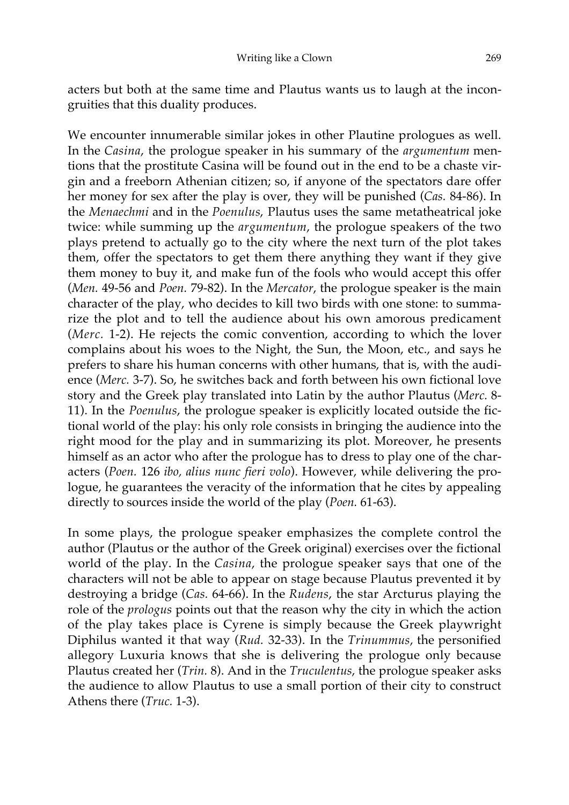acters but both at the same time and Plautus wants us to laugh at the incongruities that this duality produces.

We encounter innumerable similar jokes in other Plautine prologues as well. In the *Casina*, the prologue speaker in his summary of the *argumentum* mentions that the prostitute Casina will be found out in the end to be a chaste virgin and a freeborn Athenian citizen; so, if anyone of the spectators dare offer her money for sex after the play is over, they will be punished (*Cas.* 84-86). In the *Menaechmi* and in the *Poenulus*, Plautus uses the same metatheatrical joke twice: while summing up the *argumentum*, the prologue speakers of the two plays pretend to actually go to the city where the next turn of the plot takes them, offer the spectators to get them there anything they want if they give them money to buy it, and make fun of the fools who would accept this offer (*Men.* 49-56 and *Poen.* 79-82). In the *Mercator*, the prologue speaker is the main character of the play, who decides to kill two birds with one stone: to summarize the plot and to tell the audience about his own amorous predicament (*Merc.* 1-2). He rejects the comic convention, according to which the lover complains about his woes to the Night, the Sun, the Moon, etc., and says he prefers to share his human concerns with other humans, that is, with the audience (*Merc.* 3-7). So, he switches back and forth between his own fictional love story and the Greek play translated into Latin by the author Plautus (*Merc.* 8- 11). In the *Poenulus*, the prologue speaker is explicitly located outside the fictional world of the play: his only role consists in bringing the audience into the right mood for the play and in summarizing its plot. Moreover, he presents himself as an actor who after the prologue has to dress to play one of the characters (*Poen.* 126 *ibo, alius nunc fieri volo*). However, while delivering the prologue, he guarantees the veracity of the information that he cites by appealing directly to sources inside the world of the play (*Poen.* 61-63).

In some plays, the prologue speaker emphasizes the complete control the author (Plautus or the author of the Greek original) exercises over the fictional world of the play. In the *Casina*, the prologue speaker says that one of the characters will not be able to appear on stage because Plautus prevented it by destroying a bridge (*Cas.* 64-66). In the *Rudens*, the star Arcturus playing the role of the *prologus* points out that the reason why the city in which the action of the play takes place is Cyrene is simply because the Greek playwright Diphilus wanted it that way (*Rud.* 32-33). In the *Trinummus*, the personified allegory Luxuria knows that she is delivering the prologue only because Plautus created her (*Trin.* 8). And in the *Truculentus*, the prologue speaker asks the audience to allow Plautus to use a small portion of their city to construct Athens there (*Truc.* 1-3).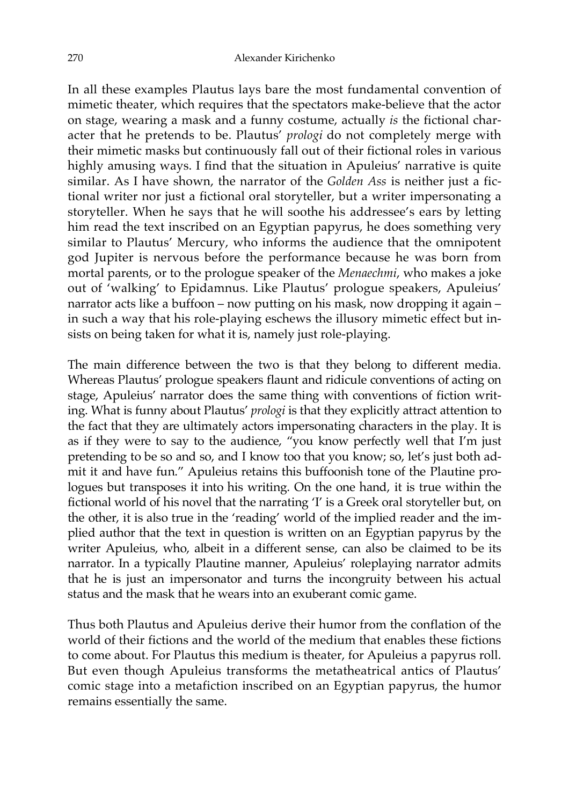In all these examples Plautus lays bare the most fundamental convention of mimetic theater, which requires that the spectators make-believe that the actor on stage, wearing a mask and a funny costume, actually *is* the fictional character that he pretends to be. Plautus' *prologi* do not completely merge with their mimetic masks but continuously fall out of their fictional roles in various highly amusing ways. I find that the situation in Apuleius' narrative is quite similar. As I have shown, the narrator of the *Golden Ass* is neither just a fictional writer nor just a fictional oral storyteller, but a writer impersonating a storyteller. When he says that he will soothe his addressee's ears by letting him read the text inscribed on an Egyptian papyrus, he does something very similar to Plautus' Mercury, who informs the audience that the omnipotent god Jupiter is nervous before the performance because he was born from mortal parents, or to the prologue speaker of the *Menaechmi*, who makes a joke out of 'walking' to Epidamnus. Like Plautus' prologue speakers, Apuleius' narrator acts like a buffoon – now putting on his mask, now dropping it again – in such a way that his role-playing eschews the illusory mimetic effect but insists on being taken for what it is, namely just role-playing.

The main difference between the two is that they belong to different media. Whereas Plautus' prologue speakers flaunt and ridicule conventions of acting on stage, Apuleius' narrator does the same thing with conventions of fiction writing. What is funny about Plautus' *prologi* is that they explicitly attract attention to the fact that they are ultimately actors impersonating characters in the play. It is as if they were to say to the audience, "you know perfectly well that I'm just pretending to be so and so, and I know too that you know; so, let's just both admit it and have fun." Apuleius retains this buffoonish tone of the Plautine prologues but transposes it into his writing. On the one hand, it is true within the fictional world of his novel that the narrating 'I' is a Greek oral storyteller but, on the other, it is also true in the 'reading' world of the implied reader and the implied author that the text in question is written on an Egyptian papyrus by the writer Apuleius, who, albeit in a different sense, can also be claimed to be its narrator. In a typically Plautine manner, Apuleius' roleplaying narrator admits that he is just an impersonator and turns the incongruity between his actual status and the mask that he wears into an exuberant comic game.

Thus both Plautus and Apuleius derive their humor from the conflation of the world of their fictions and the world of the medium that enables these fictions to come about. For Plautus this medium is theater, for Apuleius a papyrus roll. But even though Apuleius transforms the metatheatrical antics of Plautus' comic stage into a metafiction inscribed on an Egyptian papyrus, the humor remains essentially the same.